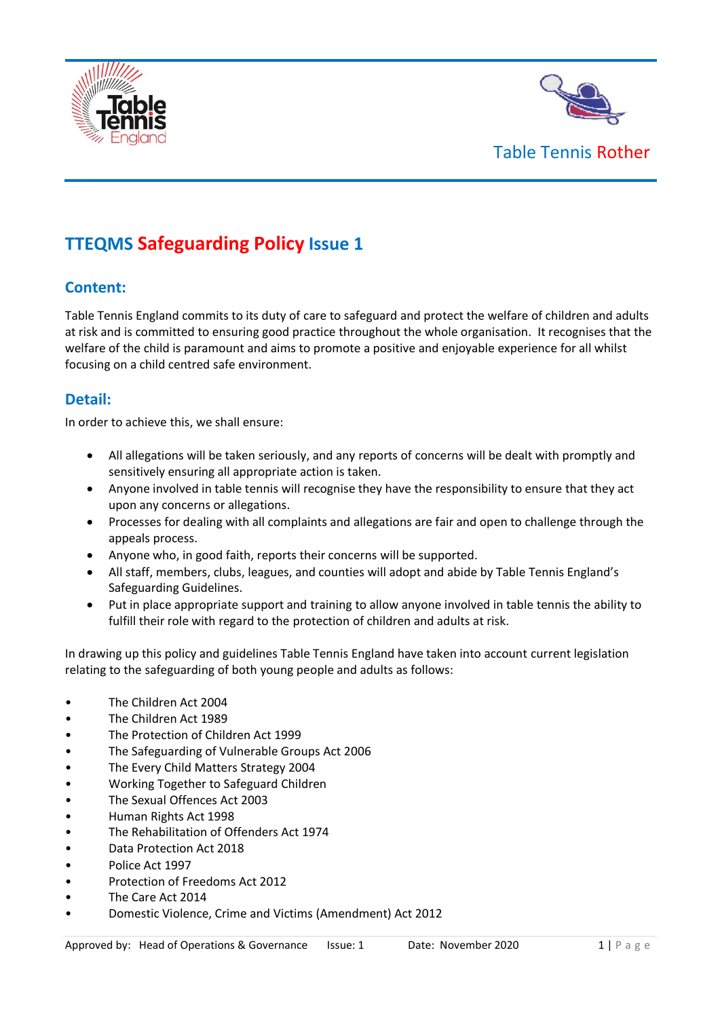



## **TTEQMS Safeguarding Policy Issue 1**

## **Content:**

Table Tennis England commits to its duty of care to safeguard and protect the welfare of children and adults at risk and is committed to ensuring good practice throughout the whole organisation. It recognises that the welfare of the child is paramount and aims to promote a positive and enjoyable experience for all whilst focusing on a child centred safe environment.

## **Detail:**

In order to achieve this, we shall ensure:

- All allegations will be taken seriously, and any reports of concerns will be dealt with promptly and sensitively ensuring all appropriate action is taken.
- Anyone involved in table tennis will recognise they have the responsibility to ensure that they act upon any concerns or allegations.
- Processes for dealing with all complaints and allegations are fair and open to challenge through the appeals process.
- Anyone who, in good faith, reports their concerns will be supported.
- All staff, members, clubs, leagues, and counties will adopt and abide by Table Tennis England's Safeguarding Guidelines.
- Put in place appropriate support and training to allow anyone involved in table tennis the ability to fulfill their role with regard to the protection of children and adults at risk.

In drawing up this policy and guidelines Table Tennis England have taken into account current legislation relating to the safeguarding of both young people and adults as follows:

- The Children Act 2004
- The Children Act 1989
- The Protection of Children Act 1999
- The Safeguarding of Vulnerable Groups Act 2006
- The Every Child Matters Strategy 2004
- Working Together to Safeguard Children
- The Sexual Offences Act 2003
- Human Rights Act 1998
- The Rehabilitation of Offenders Act 1974
- Data Protection Act 2018
- Police Act 1997
- Protection of Freedoms Act 2012
- The Care Act 2014
- Domestic Violence, Crime and Victims (Amendment) Act 2012